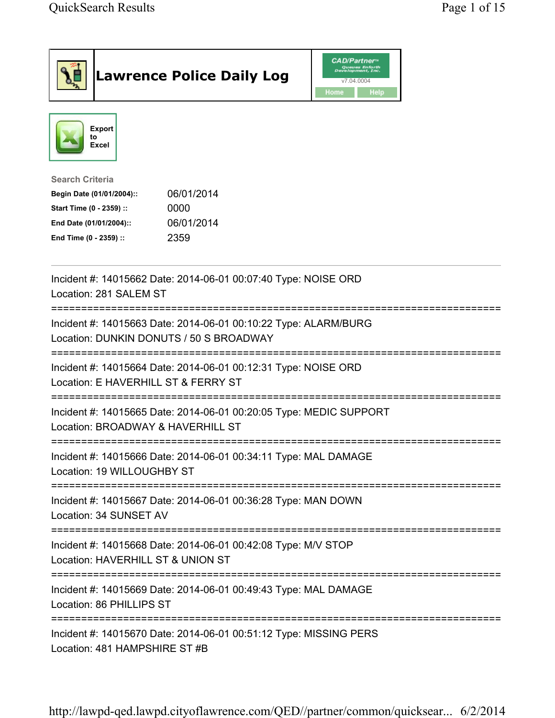|                                                                                                                                      | <b>Lawrence Police Daily Log</b>                                                                           | <b>CAD/Partner</b><br>Queues Enforth<br>Development, Inc.<br>v7.04.0004<br>Home<br>Help |
|--------------------------------------------------------------------------------------------------------------------------------------|------------------------------------------------------------------------------------------------------------|-----------------------------------------------------------------------------------------|
| <b>Export</b><br>to<br>Excel                                                                                                         |                                                                                                            |                                                                                         |
| <b>Search Criteria</b><br>Begin Date (01/01/2004)::<br>Start Time (0 - 2359) ::<br>End Date (01/01/2004)::<br>End Time (0 - 2359) :: | 06/01/2014<br>0000<br>06/01/2014<br>2359                                                                   |                                                                                         |
| Location: 281 SALEM ST                                                                                                               | Incident #: 14015662 Date: 2014-06-01 00:07:40 Type: NOISE ORD                                             |                                                                                         |
|                                                                                                                                      | Incident #: 14015663 Date: 2014-06-01 00:10:22 Type: ALARM/BURG<br>Location: DUNKIN DONUTS / 50 S BROADWAY |                                                                                         |
|                                                                                                                                      | Incident #: 14015664 Date: 2014-06-01 00:12:31 Type: NOISE ORD<br>Location: E HAVERHILL ST & FERRY ST      |                                                                                         |
|                                                                                                                                      | Incident #: 14015665 Date: 2014-06-01 00:20:05 Type: MEDIC SUPPORT<br>Location: BROADWAY & HAVERHILL ST    |                                                                                         |
| Location: 19 WILLOUGHBY ST                                                                                                           | Incident #: 14015666 Date: 2014-06-01 00:34:11 Type: MAL DAMAGE                                            |                                                                                         |
| Location: 34 SUNSET AV                                                                                                               | Incident #: 14015667 Date: 2014-06-01 00:36:28 Type: MAN DOWN                                              |                                                                                         |
|                                                                                                                                      | Incident #: 14015668 Date: 2014-06-01 00:42:08 Type: M/V STOP<br>Location: HAVERHILL ST & UNION ST         |                                                                                         |
| Location: 86 PHILLIPS ST                                                                                                             | Incident #: 14015669 Date: 2014-06-01 00:49:43 Type: MAL DAMAGE                                            |                                                                                         |
| Location: 481 HAMPSHIRE ST #B                                                                                                        | Incident #: 14015670 Date: 2014-06-01 00:51:12 Type: MISSING PERS                                          | ===============================                                                         |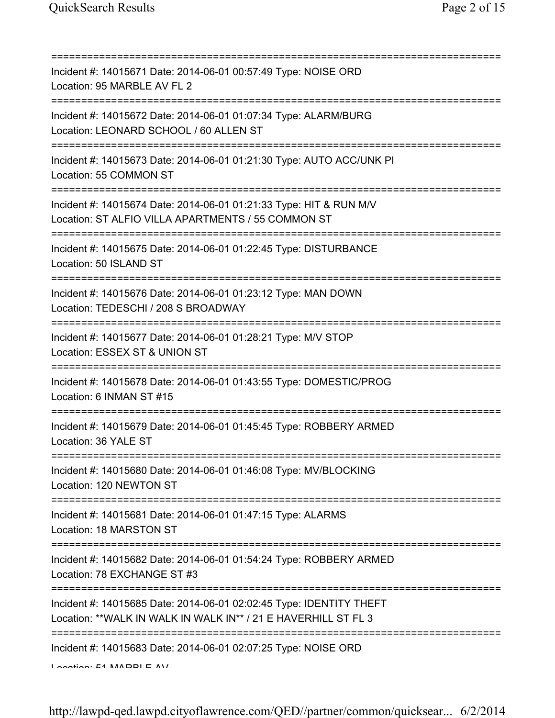| Incident #: 14015671 Date: 2014-06-01 00:57:49 Type: NOISE ORD<br>Location: 95 MARBLE AV FL 2                                           |
|-----------------------------------------------------------------------------------------------------------------------------------------|
| Incident #: 14015672 Date: 2014-06-01 01:07:34 Type: ALARM/BURG<br>Location: LEONARD SCHOOL / 60 ALLEN ST                               |
| =============================<br>Incident #: 14015673 Date: 2014-06-01 01:21:30 Type: AUTO ACC/UNK PI<br>Location: 55 COMMON ST         |
| Incident #: 14015674 Date: 2014-06-01 01:21:33 Type: HIT & RUN M/V<br>Location: ST ALFIO VILLA APARTMENTS / 55 COMMON ST                |
| .------------------------------------<br>Incident #: 14015675 Date: 2014-06-01 01:22:45 Type: DISTURBANCE<br>Location: 50 ISLAND ST     |
| Incident #: 14015676 Date: 2014-06-01 01:23:12 Type: MAN DOWN<br>Location: TEDESCHI / 208 S BROADWAY                                    |
| Incident #: 14015677 Date: 2014-06-01 01:28:21 Type: M/V STOP<br>Location: ESSEX ST & UNION ST                                          |
| Incident #: 14015678 Date: 2014-06-01 01:43:55 Type: DOMESTIC/PROG<br>Location: 6 INMAN ST #15                                          |
| Incident #: 14015679 Date: 2014-06-01 01:45:45 Type: ROBBERY ARMED<br>Location: 36 YALE ST                                              |
| Incident #: 14015680 Date: 2014-06-01 01:46:08 Type: MV/BLOCKING<br>Location: 120 NEWTON ST                                             |
| :===================================<br>Incident #: 14015681 Date: 2014-06-01 01:47:15 Type: ALARMS<br>Location: 18 MARSTON ST          |
| .---------------------------------<br>Incident #: 14015682 Date: 2014-06-01 01:54:24 Type: ROBBERY ARMED<br>Location: 78 EXCHANGE ST #3 |
| Incident #: 14015685 Date: 2014-06-01 02:02:45 Type: IDENTITY THEFT<br>Location: ** WALK IN WALK IN WALK IN** / 21 E HAVERHILL ST FL 3  |
| Incident #: 14015683 Date: 2014-06-01 02:07:25 Type: NOISE ORD<br>$A \sim A$ $A \sim A$ $A \wedge A$                                    |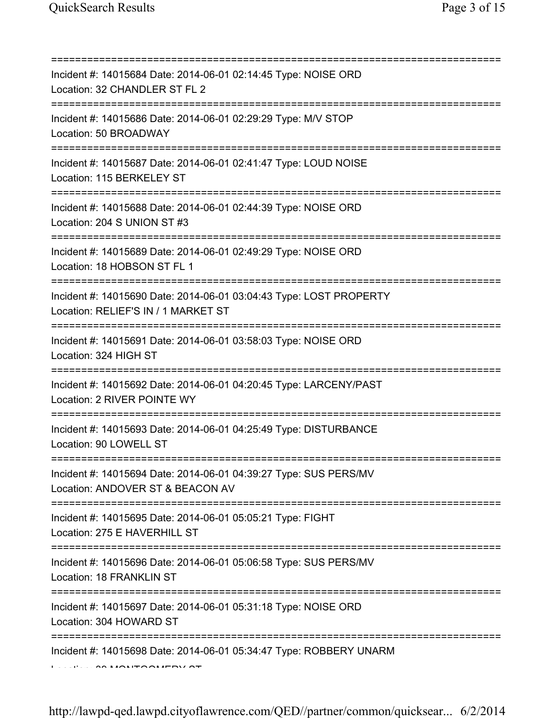| Incident #: 14015684 Date: 2014-06-01 02:14:45 Type: NOISE ORD<br>Location: 32 CHANDLER ST FL 2                                                        |
|--------------------------------------------------------------------------------------------------------------------------------------------------------|
| :===================<br>Incident #: 14015686 Date: 2014-06-01 02:29:29 Type: M/V STOP<br>Location: 50 BROADWAY<br>==================================== |
| Incident #: 14015687 Date: 2014-06-01 02:41:47 Type: LOUD NOISE<br>Location: 115 BERKELEY ST                                                           |
| Incident #: 14015688 Date: 2014-06-01 02:44:39 Type: NOISE ORD<br>Location: 204 S UNION ST #3                                                          |
| Incident #: 14015689 Date: 2014-06-01 02:49:29 Type: NOISE ORD<br>Location: 18 HOBSON ST FL 1                                                          |
| Incident #: 14015690 Date: 2014-06-01 03:04:43 Type: LOST PROPERTY<br>Location: RELIEF'S IN / 1 MARKET ST                                              |
| Incident #: 14015691 Date: 2014-06-01 03:58:03 Type: NOISE ORD<br>Location: 324 HIGH ST                                                                |
| Incident #: 14015692 Date: 2014-06-01 04:20:45 Type: LARCENY/PAST<br>Location: 2 RIVER POINTE WY                                                       |
| Incident #: 14015693 Date: 2014-06-01 04:25:49 Type: DISTURBANCE<br>Location: 90 LOWELL ST                                                             |
| Incident #: 14015694 Date: 2014-06-01 04:39:27 Type: SUS PERS/MV<br>Location: ANDOVER ST & BEACON AV                                                   |
| ;===============================<br>Incident #: 14015695 Date: 2014-06-01 05:05:21 Type: FIGHT<br>Location: 275 E HAVERHILL ST                         |
| Incident #: 14015696 Date: 2014-06-01 05:06:58 Type: SUS PERS/MV<br>Location: 18 FRANKLIN ST                                                           |
| Incident #: 14015697 Date: 2014-06-01 05:31:18 Type: NOISE ORD<br>Location: 304 HOWARD ST                                                              |
| Incident #: 14015698 Date: 2014-06-01 05:34:47 Type: ROBBERY UNARM                                                                                     |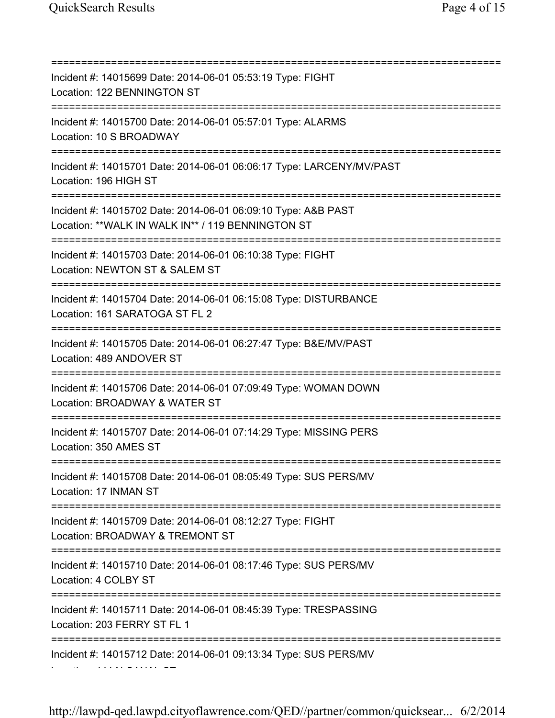=========================================================================== Incident #: 14015699 Date: 2014-06-01 05:53:19 Type: FIGHT Location: 122 BENNINGTON ST =========================================================================== Incident #: 14015700 Date: 2014-06-01 05:57:01 Type: ALARMS Location: 10 S BROADWAY =========================================================================== Incident #: 14015701 Date: 2014-06-01 06:06:17 Type: LARCENY/MV/PAST Location: 196 HIGH ST =========================================================================== Incident #: 14015702 Date: 2014-06-01 06:09:10 Type: A&B PAST Location: \*\*WALK IN WALK IN\*\* / 119 BENNINGTON ST =========================================================================== Incident #: 14015703 Date: 2014-06-01 06:10:38 Type: FIGHT Location: NEWTON ST & SALEM ST =========================================================================== Incident #: 14015704 Date: 2014-06-01 06:15:08 Type: DISTURBANCE Location: 161 SARATOGA ST FL 2 =========================================================================== Incident #: 14015705 Date: 2014-06-01 06:27:47 Type: B&E/MV/PAST Location: 489 ANDOVER ST =========================================================================== Incident #: 14015706 Date: 2014-06-01 07:09:49 Type: WOMAN DOWN Location: BROADWAY & WATER ST =========================================================================== Incident #: 14015707 Date: 2014-06-01 07:14:29 Type: MISSING PERS Location: 350 AMES ST =========================================================================== Incident #: 14015708 Date: 2014-06-01 08:05:49 Type: SUS PERS/MV Location: 17 INMAN ST =========================================================================== Incident #: 14015709 Date: 2014-06-01 08:12:27 Type: FIGHT Location: BROADWAY & TREMONT ST =========================================================================== Incident #: 14015710 Date: 2014-06-01 08:17:46 Type: SUS PERS/MV Location: 4 COLBY ST =========================================================================== Incident #: 14015711 Date: 2014-06-01 08:45:39 Type: TRESPASSING Location: 203 FERRY ST FL 1 =========================================================================== Incident #: 14015712 Date: 2014-06-01 09:13:34 Type: SUS PERS/MV Location: 444 N CANAL ST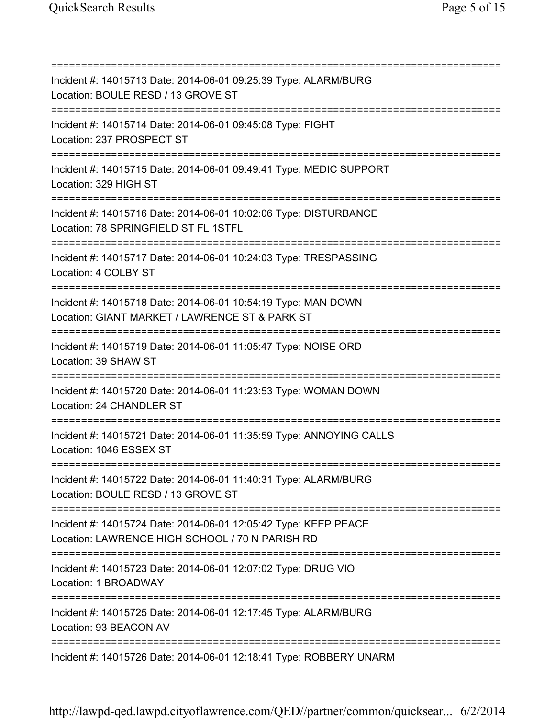=========================================================================== Incident #: 14015713 Date: 2014-06-01 09:25:39 Type: ALARM/BURG Location: BOULE RESD / 13 GROVE ST =========================================================================== Incident #: 14015714 Date: 2014-06-01 09:45:08 Type: FIGHT Location: 237 PROSPECT ST =========================================================================== Incident #: 14015715 Date: 2014-06-01 09:49:41 Type: MEDIC SUPPORT Location: 329 HIGH ST =========================================================================== Incident #: 14015716 Date: 2014-06-01 10:02:06 Type: DISTURBANCE Location: 78 SPRINGFIELD ST FL 1STFL =========================================================================== Incident #: 14015717 Date: 2014-06-01 10:24:03 Type: TRESPASSING Location: 4 COLBY ST =========================================================================== Incident #: 14015718 Date: 2014-06-01 10:54:19 Type: MAN DOWN Location: GIANT MARKET / LAWRENCE ST & PARK ST =========================================================================== Incident #: 14015719 Date: 2014-06-01 11:05:47 Type: NOISE ORD Location: 39 SHAW ST =========================================================================== Incident #: 14015720 Date: 2014-06-01 11:23:53 Type: WOMAN DOWN Location: 24 CHANDLER ST =========================================================================== Incident #: 14015721 Date: 2014-06-01 11:35:59 Type: ANNOYING CALLS Location: 1046 ESSEX ST =========================================================================== Incident #: 14015722 Date: 2014-06-01 11:40:31 Type: ALARM/BURG Location: BOULE RESD / 13 GROVE ST =========================================================================== Incident #: 14015724 Date: 2014-06-01 12:05:42 Type: KEEP PEACE Location: LAWRENCE HIGH SCHOOL / 70 N PARISH RD =========================================================================== Incident #: 14015723 Date: 2014-06-01 12:07:02 Type: DRUG VIO Location: 1 BROADWAY =========================================================================== Incident #: 14015725 Date: 2014-06-01 12:17:45 Type: ALARM/BURG Location: 93 BEACON AV =========================================================================== Incident #: 14015726 Date: 2014-06-01 12:18:41 Type: ROBBERY UNARM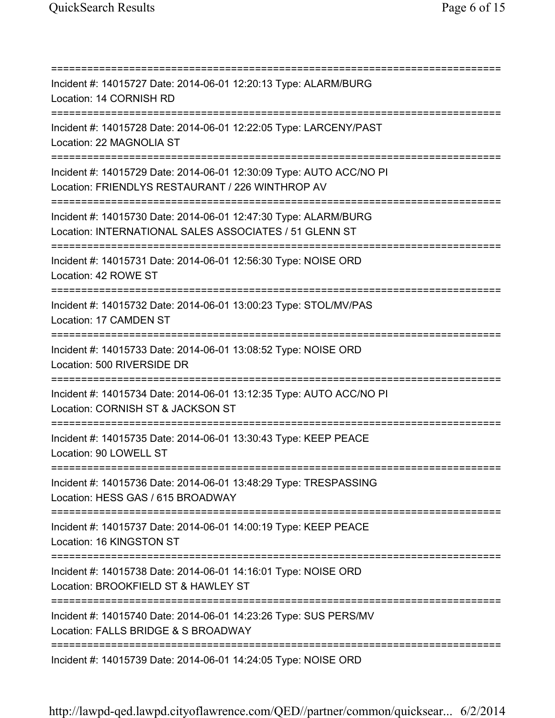=========================================================================== Incident #: 14015727 Date: 2014-06-01 12:20:13 Type: ALARM/BURG Location: 14 CORNISH RD =========================================================================== Incident #: 14015728 Date: 2014-06-01 12:22:05 Type: LARCENY/PAST Location: 22 MAGNOLIA ST =========================================================================== Incident #: 14015729 Date: 2014-06-01 12:30:09 Type: AUTO ACC/NO PI Location: FRIENDLYS RESTAURANT / 226 WINTHROP AV =========================================================================== Incident #: 14015730 Date: 2014-06-01 12:47:30 Type: ALARM/BURG Location: INTERNATIONAL SALES ASSOCIATES / 51 GLENN ST =========================================================================== Incident #: 14015731 Date: 2014-06-01 12:56:30 Type: NOISE ORD Location: 42 ROWE ST =========================================================================== Incident #: 14015732 Date: 2014-06-01 13:00:23 Type: STOL/MV/PAS Location: 17 CAMDEN ST =========================================================================== Incident #: 14015733 Date: 2014-06-01 13:08:52 Type: NOISE ORD Location: 500 RIVERSIDE DR =========================================================================== Incident #: 14015734 Date: 2014-06-01 13:12:35 Type: AUTO ACC/NO PI Location: CORNISH ST & JACKSON ST =========================================================================== Incident #: 14015735 Date: 2014-06-01 13:30:43 Type: KEEP PEACE Location: 90 LOWELL ST =========================================================================== Incident #: 14015736 Date: 2014-06-01 13:48:29 Type: TRESPASSING Location: HESS GAS / 615 BROADWAY =========================================================================== Incident #: 14015737 Date: 2014-06-01 14:00:19 Type: KEEP PEACE Location: 16 KINGSTON ST =========================================================================== Incident #: 14015738 Date: 2014-06-01 14:16:01 Type: NOISE ORD Location: BROOKFIELD ST & HAWLEY ST =========================================================================== Incident #: 14015740 Date: 2014-06-01 14:23:26 Type: SUS PERS/MV Location: FALLS BRIDGE & S BROADWAY =========================================================================== Incident #: 14015739 Date: 2014-06-01 14:24:05 Type: NOISE ORD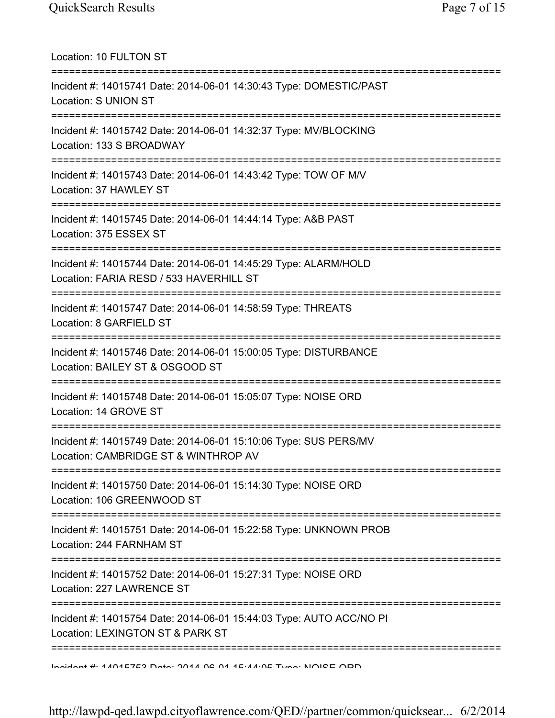Location: 10 FULTON ST =========================================================================== Incident #: 14015741 Date: 2014-06-01 14:30:43 Type: DOMESTIC/PAST Location: S UNION ST =========================================================================== Incident #: 14015742 Date: 2014-06-01 14:32:37 Type: MV/BLOCKING Location: 133 S BROADWAY =========================================================================== Incident #: 14015743 Date: 2014-06-01 14:43:42 Type: TOW OF M/V Location: 37 HAWLEY ST =========================================================================== Incident #: 14015745 Date: 2014-06-01 14:44:14 Type: A&B PAST Location: 375 ESSEX ST =========================================================================== Incident #: 14015744 Date: 2014-06-01 14:45:29 Type: ALARM/HOLD Location: FARIA RESD / 533 HAVERHILL ST =========================================================================== Incident #: 14015747 Date: 2014-06-01 14:58:59 Type: THREATS Location: 8 GARFIELD ST =========================================================================== Incident #: 14015746 Date: 2014-06-01 15:00:05 Type: DISTURBANCE Location: BAILEY ST & OSGOOD ST =========================================================================== Incident #: 14015748 Date: 2014-06-01 15:05:07 Type: NOISE ORD Location: 14 GROVE ST =========================================================================== Incident #: 14015749 Date: 2014-06-01 15:10:06 Type: SUS PERS/MV Location: CAMBRIDGE ST & WINTHROP AV =========================================================================== Incident #: 14015750 Date: 2014-06-01 15:14:30 Type: NOISE ORD Location: 106 GREENWOOD ST =========================================================================== Incident #: 14015751 Date: 2014-06-01 15:22:58 Type: UNKNOWN PROB Location: 244 FARNHAM ST =========================================================================== Incident #: 14015752 Date: 2014-06-01 15:27:31 Type: NOISE ORD Location: 227 LAWRENCE ST =========================================================================== Incident #: 14015754 Date: 2014-06-01 15:44:03 Type: AUTO ACC/NO PI Location: LEXINGTON ST & PARK ST =========================================================================== Incident #: 14015753 Date: 2014 06 01 15:44:05 Type: NOISE ORD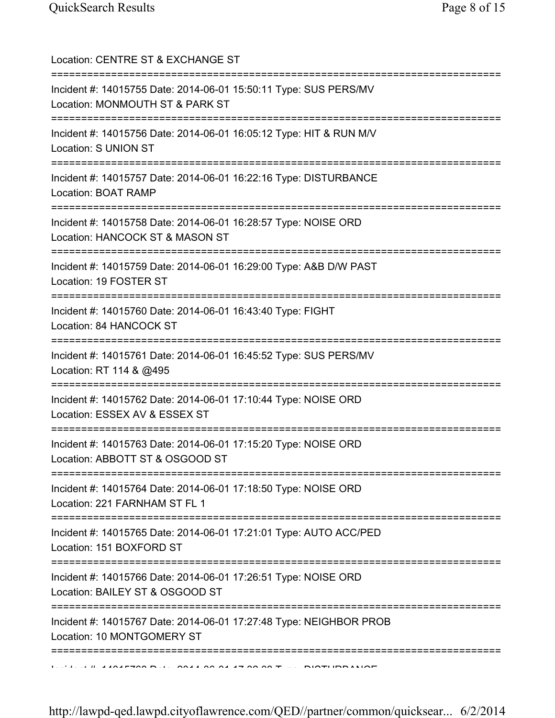| Location: CENTRE ST & EXCHANGE ST                                                                                                            |
|----------------------------------------------------------------------------------------------------------------------------------------------|
| Incident #: 14015755 Date: 2014-06-01 15:50:11 Type: SUS PERS/MV<br>Location: MONMOUTH ST & PARK ST<br>===================================== |
| Incident #: 14015756 Date: 2014-06-01 16:05:12 Type: HIT & RUN M/V<br>Location: S UNION ST<br>=============================                  |
| Incident #: 14015757 Date: 2014-06-01 16:22:16 Type: DISTURBANCE<br>Location: BOAT RAMP<br>===============================                   |
| Incident #: 14015758 Date: 2014-06-01 16:28:57 Type: NOISE ORD<br>Location: HANCOCK ST & MASON ST                                            |
| Incident #: 14015759 Date: 2014-06-01 16:29:00 Type: A&B D/W PAST<br>Location: 19 FOSTER ST                                                  |
| Incident #: 14015760 Date: 2014-06-01 16:43:40 Type: FIGHT<br>Location: 84 HANCOCK ST                                                        |
| =====================================<br>Incident #: 14015761 Date: 2014-06-01 16:45:52 Type: SUS PERS/MV<br>Location: RT 114 & @495         |
| Incident #: 14015762 Date: 2014-06-01 17:10:44 Type: NOISE ORD<br>Location: ESSEX AV & ESSEX ST                                              |
| Incident #: 14015763 Date: 2014-06-01 17:15:20 Type: NOISE ORD<br>Location: ABBOTT ST & OSGOOD ST                                            |
| Incident #: 14015764 Date: 2014-06-01 17:18:50 Type: NOISE ORD<br>Location: 221 FARNHAM ST FL 1                                              |
| ========================<br>Incident #: 14015765 Date: 2014-06-01 17:21:01 Type: AUTO ACC/PED<br>Location: 151 BOXFORD ST                    |
| Incident #: 14015766 Date: 2014-06-01 17:26:51 Type: NOISE ORD<br>Location: BAILEY ST & OSGOOD ST                                            |
| Incident #: 14015767 Date: 2014-06-01 17:27:48 Type: NEIGHBOR PROB<br>Location: 10 MONTGOMERY ST                                             |
| ==================<br>$1.0.41045700 \text{ N}^{-1}$ 0044.00.04.47.00.00 T                                                                    |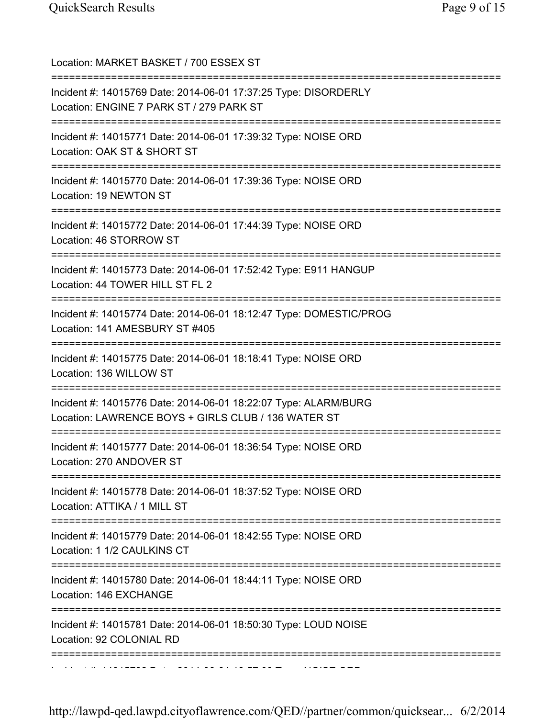| Location: MARKET BASKET / 700 ESSEX ST<br>==========================                                                                  |
|---------------------------------------------------------------------------------------------------------------------------------------|
| Incident #: 14015769 Date: 2014-06-01 17:37:25 Type: DISORDERLY<br>Location: ENGINE 7 PARK ST / 279 PARK ST                           |
| Incident #: 14015771 Date: 2014-06-01 17:39:32 Type: NOISE ORD<br>Location: OAK ST & SHORT ST<br>;=================================== |
| Incident #: 14015770 Date: 2014-06-01 17:39:36 Type: NOISE ORD<br>Location: 19 NEWTON ST                                              |
| Incident #: 14015772 Date: 2014-06-01 17:44:39 Type: NOISE ORD<br>Location: 46 STORROW ST                                             |
| Incident #: 14015773 Date: 2014-06-01 17:52:42 Type: E911 HANGUP<br>Location: 44 TOWER HILL ST FL 2<br>=============                  |
| Incident #: 14015774 Date: 2014-06-01 18:12:47 Type: DOMESTIC/PROG<br>Location: 141 AMESBURY ST #405                                  |
| Incident #: 14015775 Date: 2014-06-01 18:18:41 Type: NOISE ORD<br>Location: 136 WILLOW ST                                             |
| Incident #: 14015776 Date: 2014-06-01 18:22:07 Type: ALARM/BURG<br>Location: LAWRENCE BOYS + GIRLS CLUB / 136 WATER ST                |
| Incident #: 14015777 Date: 2014-06-01 18:36:54 Type: NOISE ORD<br>Location: 270 ANDOVER ST                                            |
| Incident #: 14015778 Date: 2014-06-01 18:37:52 Type: NOISE ORD<br>Location: ATTIKA / 1 MILL ST                                        |
| Incident #: 14015779 Date: 2014-06-01 18:42:55 Type: NOISE ORD<br>Location: 1 1/2 CAULKINS CT                                         |
| Incident #: 14015780 Date: 2014-06-01 18:44:11 Type: NOISE ORD<br>Location: 146 EXCHANGE                                              |
| :============<br>Incident #: 14015781 Date: 2014-06-01 18:50:30 Type: LOUD NOISE<br>Location: 92 COLONIAL RD                          |
|                                                                                                                                       |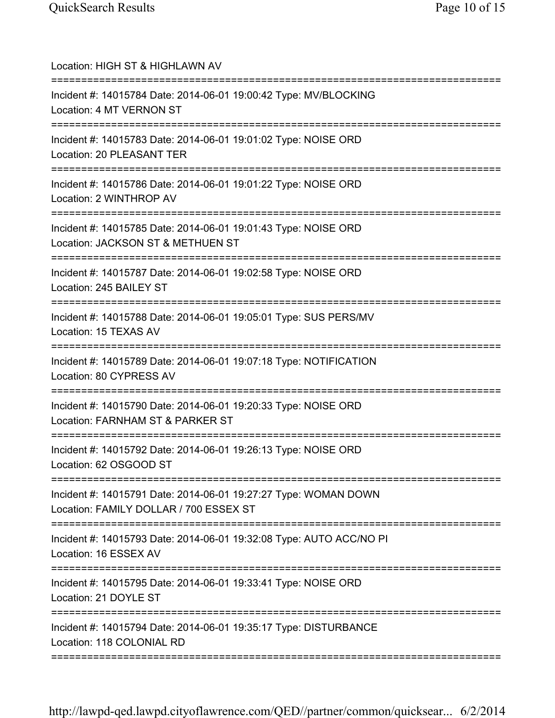| Location: HIGH ST & HIGHLAWN AV<br>=======================                                                                          |
|-------------------------------------------------------------------------------------------------------------------------------------|
| Incident #: 14015784 Date: 2014-06-01 19:00:42 Type: MV/BLOCKING<br>Location: 4 MT VERNON ST                                        |
| Incident #: 14015783 Date: 2014-06-01 19:01:02 Type: NOISE ORD<br>Location: 20 PLEASANT TER<br>==================================== |
| Incident #: 14015786 Date: 2014-06-01 19:01:22 Type: NOISE ORD<br>Location: 2 WINTHROP AV                                           |
| Incident #: 14015785 Date: 2014-06-01 19:01:43 Type: NOISE ORD<br>Location: JACKSON ST & METHUEN ST                                 |
| Incident #: 14015787 Date: 2014-06-01 19:02:58 Type: NOISE ORD<br>Location: 245 BAILEY ST                                           |
| Incident #: 14015788 Date: 2014-06-01 19:05:01 Type: SUS PERS/MV<br>Location: 15 TEXAS AV                                           |
| Incident #: 14015789 Date: 2014-06-01 19:07:18 Type: NOTIFICATION<br>Location: 80 CYPRESS AV                                        |
| Incident #: 14015790 Date: 2014-06-01 19:20:33 Type: NOISE ORD<br>Location: FARNHAM ST & PARKER ST                                  |
| Incident #: 14015792 Date: 2014-06-01 19:26:13 Type: NOISE ORD<br>Location: 62 OSGOOD ST                                            |
| Incident #: 14015791 Date: 2014-06-01 19:27:27 Type: WOMAN DOWN<br>Location: FAMILY DOLLAR / 700 ESSEX ST                           |
| Incident #: 14015793 Date: 2014-06-01 19:32:08 Type: AUTO ACC/NO PI<br>Location: 16 ESSEX AV                                        |
| Incident #: 14015795 Date: 2014-06-01 19:33:41 Type: NOISE ORD<br>Location: 21 DOYLE ST                                             |
| Incident #: 14015794 Date: 2014-06-01 19:35:17 Type: DISTURBANCE<br>Location: 118 COLONIAL RD                                       |
|                                                                                                                                     |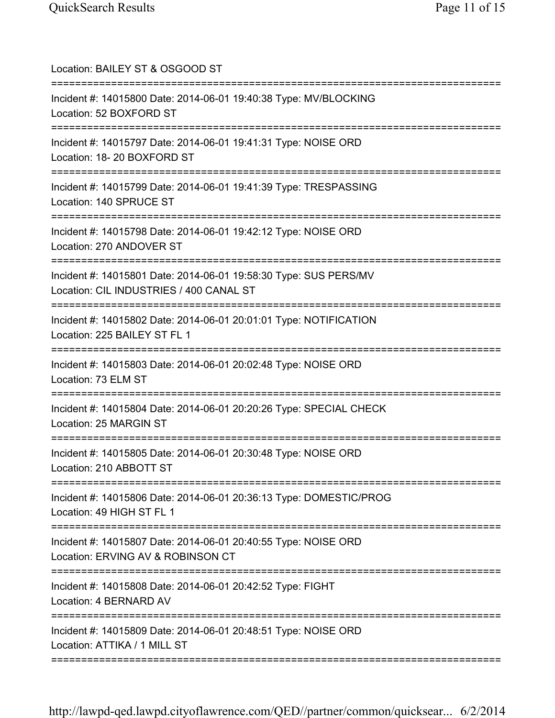| Location: BAILEY ST & OSGOOD ST                                                                                                               |
|-----------------------------------------------------------------------------------------------------------------------------------------------|
| Incident #: 14015800 Date: 2014-06-01 19:40:38 Type: MV/BLOCKING<br>Location: 52 BOXFORD ST                                                   |
| Incident #: 14015797 Date: 2014-06-01 19:41:31 Type: NOISE ORD<br>Location: 18-20 BOXFORD ST<br>======================================        |
| Incident #: 14015799 Date: 2014-06-01 19:41:39 Type: TRESPASSING<br>Location: 140 SPRUCE ST<br>=================================              |
| Incident #: 14015798 Date: 2014-06-01 19:42:12 Type: NOISE ORD<br>Location: 270 ANDOVER ST                                                    |
| ==========<br>Incident #: 14015801 Date: 2014-06-01 19:58:30 Type: SUS PERS/MV<br>Location: CIL INDUSTRIES / 400 CANAL ST                     |
| Incident #: 14015802 Date: 2014-06-01 20:01:01 Type: NOTIFICATION<br>Location: 225 BAILEY ST FL 1                                             |
| Incident #: 14015803 Date: 2014-06-01 20:02:48 Type: NOISE ORD<br>Location: 73 ELM ST                                                         |
| Incident #: 14015804 Date: 2014-06-01 20:20:26 Type: SPECIAL CHECK<br>Location: 25 MARGIN ST                                                  |
| Incident #: 14015805 Date: 2014-06-01 20:30:48 Type: NOISE ORD<br>Location: 210 ABBOTT ST                                                     |
| Incident #: 14015806 Date: 2014-06-01 20:36:13 Type: DOMESTIC/PROG<br>Location: 49 HIGH ST FL 1                                               |
| Incident #: 14015807 Date: 2014-06-01 20:40:55 Type: NOISE ORD<br>Location: ERVING AV & ROBINSON CT                                           |
| ==================<br>-------------------------------<br>Incident #: 14015808 Date: 2014-06-01 20:42:52 Type: FIGHT<br>Location: 4 BERNARD AV |
| Incident #: 14015809 Date: 2014-06-01 20:48:51 Type: NOISE ORD<br>Location: ATTIKA / 1 MILL ST                                                |
|                                                                                                                                               |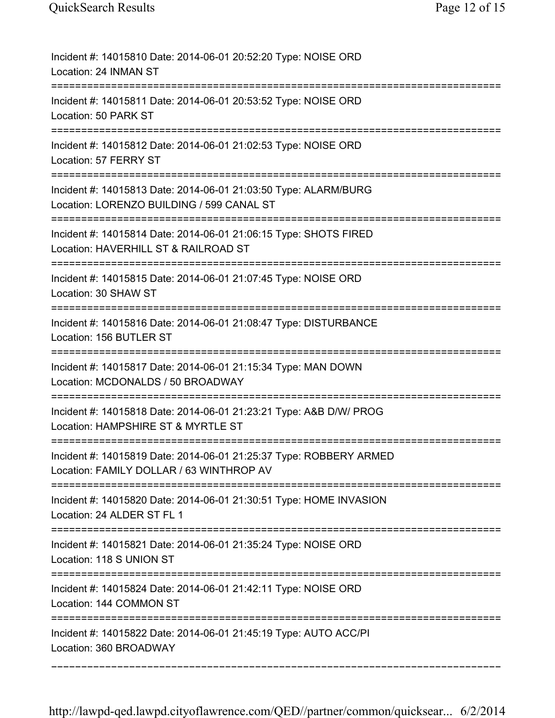| Incident #: 14015810 Date: 2014-06-01 20:52:20 Type: NOISE ORD<br>Location: 24 INMAN ST                                                   |
|-------------------------------------------------------------------------------------------------------------------------------------------|
| Incident #: 14015811 Date: 2014-06-01 20:53:52 Type: NOISE ORD<br>Location: 50 PARK ST                                                    |
| Incident #: 14015812 Date: 2014-06-01 21:02:53 Type: NOISE ORD<br>Location: 57 FERRY ST                                                   |
| Incident #: 14015813 Date: 2014-06-01 21:03:50 Type: ALARM/BURG<br>Location: LORENZO BUILDING / 599 CANAL ST                              |
| Incident #: 14015814 Date: 2014-06-01 21:06:15 Type: SHOTS FIRED<br>Location: HAVERHILL ST & RAILROAD ST                                  |
| Incident #: 14015815 Date: 2014-06-01 21:07:45 Type: NOISE ORD<br>Location: 30 SHAW ST                                                    |
| Incident #: 14015816 Date: 2014-06-01 21:08:47 Type: DISTURBANCE<br>Location: 156 BUTLER ST                                               |
| Incident #: 14015817 Date: 2014-06-01 21:15:34 Type: MAN DOWN<br>Location: MCDONALDS / 50 BROADWAY<br>=================================== |
| Incident #: 14015818 Date: 2014-06-01 21:23:21 Type: A&B D/W/ PROG<br>Location: HAMPSHIRE ST & MYRTLE ST                                  |
| Incident #: 14015819 Date: 2014-06-01 21:25:37 Type: ROBBERY ARMED<br>Location: FAMILY DOLLAR / 63 WINTHROP AV                            |
| Incident #: 14015820 Date: 2014-06-01 21:30:51 Type: HOME INVASION<br>Location: 24 ALDER ST FL 1                                          |
| Incident #: 14015821 Date: 2014-06-01 21:35:24 Type: NOISE ORD<br>Location: 118 S UNION ST                                                |
| Incident #: 14015824 Date: 2014-06-01 21:42:11 Type: NOISE ORD<br>Location: 144 COMMON ST                                                 |
| Incident #: 14015822 Date: 2014-06-01 21:45:19 Type: AUTO ACC/PI<br>Location: 360 BROADWAY                                                |
|                                                                                                                                           |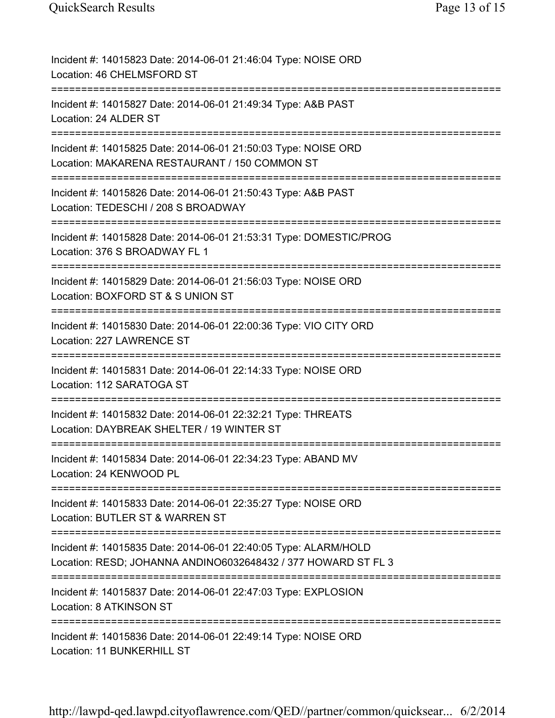| Incident #: 14015823 Date: 2014-06-01 21:46:04 Type: NOISE ORD<br>Location: 46 CHELMSFORD ST                                                           |
|--------------------------------------------------------------------------------------------------------------------------------------------------------|
| Incident #: 14015827 Date: 2014-06-01 21:49:34 Type: A&B PAST<br>Location: 24 ALDER ST                                                                 |
| Incident #: 14015825 Date: 2014-06-01 21:50:03 Type: NOISE ORD<br>Location: MAKARENA RESTAURANT / 150 COMMON ST<br>:================================== |
| Incident #: 14015826 Date: 2014-06-01 21:50:43 Type: A&B PAST<br>Location: TEDESCHI / 208 S BROADWAY                                                   |
| Incident #: 14015828 Date: 2014-06-01 21:53:31 Type: DOMESTIC/PROG<br>Location: 376 S BROADWAY FL 1                                                    |
| Incident #: 14015829 Date: 2014-06-01 21:56:03 Type: NOISE ORD<br>Location: BOXFORD ST & S UNION ST                                                    |
| Incident #: 14015830 Date: 2014-06-01 22:00:36 Type: VIO CITY ORD<br>Location: 227 LAWRENCE ST                                                         |
| Incident #: 14015831 Date: 2014-06-01 22:14:33 Type: NOISE ORD<br>Location: 112 SARATOGA ST                                                            |
| Incident #: 14015832 Date: 2014-06-01 22:32:21 Type: THREATS<br>Location: DAYBREAK SHELTER / 19 WINTER ST                                              |
| Incident #: 14015834 Date: 2014-06-01 22:34:23 Type: ABAND MV<br>Location: 24 KENWOOD PL                                                               |
| Incident #: 14015833 Date: 2014-06-01 22:35:27 Type: NOISE ORD<br>Location: BUTLER ST & WARREN ST                                                      |
| Incident #: 14015835 Date: 2014-06-01 22:40:05 Type: ALARM/HOLD<br>Location: RESD; JOHANNA ANDINO6032648432 / 377 HOWARD ST FL 3                       |
| Incident #: 14015837 Date: 2014-06-01 22:47:03 Type: EXPLOSION<br>Location: 8 ATKINSON ST                                                              |
| Incident #: 14015836 Date: 2014-06-01 22:49:14 Type: NOISE ORD<br>Location: 11 BUNKERHILL ST                                                           |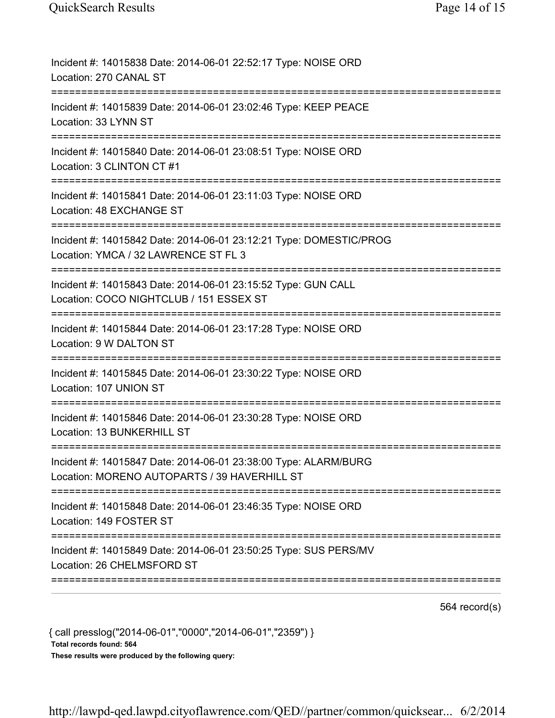| Incident #: 14015838 Date: 2014-06-01 22:52:17 Type: NOISE ORD<br>Location: 270 CANAL ST                                                    |
|---------------------------------------------------------------------------------------------------------------------------------------------|
| Incident #: 14015839 Date: 2014-06-01 23:02:46 Type: KEEP PEACE<br>Location: 33 LYNN ST                                                     |
| Incident #: 14015840 Date: 2014-06-01 23:08:51 Type: NOISE ORD<br>Location: 3 CLINTON CT #1                                                 |
| Incident #: 14015841 Date: 2014-06-01 23:11:03 Type: NOISE ORD<br>Location: 48 EXCHANGE ST                                                  |
| Incident #: 14015842 Date: 2014-06-01 23:12:21 Type: DOMESTIC/PROG<br>Location: YMCA / 32 LAWRENCE ST FL 3                                  |
| Incident #: 14015843 Date: 2014-06-01 23:15:52 Type: GUN CALL<br>Location: COCO NIGHTCLUB / 151 ESSEX ST<br>:============================== |
| Incident #: 14015844 Date: 2014-06-01 23:17:28 Type: NOISE ORD<br>Location: 9 W DALTON ST                                                   |
| Incident #: 14015845 Date: 2014-06-01 23:30:22 Type: NOISE ORD<br>Location: 107 UNION ST<br>================================                |
| Incident #: 14015846 Date: 2014-06-01 23:30:28 Type: NOISE ORD<br>Location: 13 BUNKERHILL ST                                                |
| Incident #: 14015847 Date: 2014-06-01 23:38:00 Type: ALARM/BURG<br>Location: MORENO AUTOPARTS / 39 HAVERHILL ST                             |
| Incident #: 14015848 Date: 2014-06-01 23:46:35 Type: NOISE ORD<br>Location: 149 FOSTER ST                                                   |
| Incident #: 14015849 Date: 2014-06-01 23:50:25 Type: SUS PERS/MV<br>Location: 26 CHELMSFORD ST                                              |

564 record(s)

{ call presslog("2014-06-01","0000","2014-06-01","2359") } Total records found: 564 These results were produced by the following query: